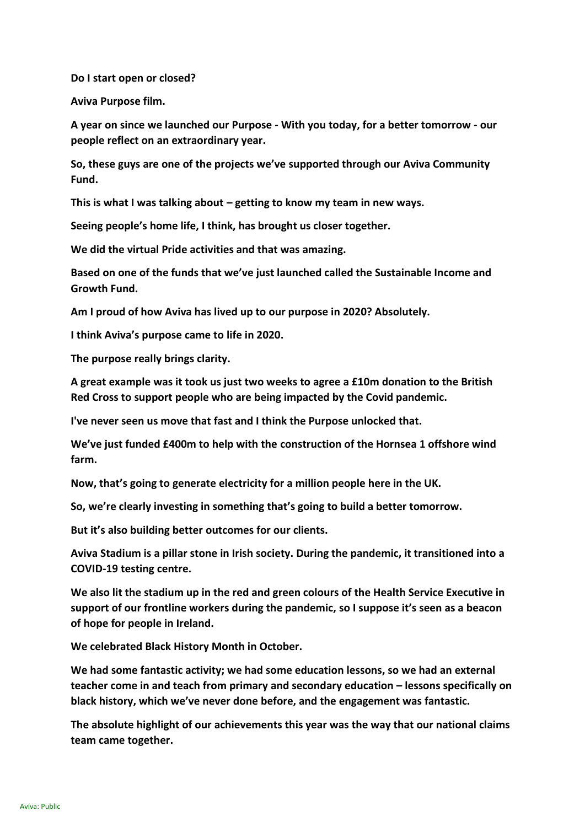**Do I start open or closed?**

**Aviva Purpose film.**

**A year on since we launched our Purpose - With you today, for a better tomorrow - our people reflect on an extraordinary year.**

**So, these guys are one of the projects we've supported through our Aviva Community Fund.**

**This is what I was talking about – getting to know my team in new ways.**

**Seeing people's home life, I think, has brought us closer together.**

**We did the virtual Pride activities and that was amazing.**

**Based on one of the funds that we've just launched called the Sustainable Income and Growth Fund.**

**Am I proud of how Aviva has lived up to our purpose in 2020? Absolutely.**

**I think Aviva's purpose came to life in 2020.**

**The purpose really brings clarity.**

**A great example was it took us just two weeks to agree a £10m donation to the British Red Cross to support people who are being impacted by the Covid pandemic.**

**I've never seen us move that fast and I think the Purpose unlocked that.**

**We've just funded £400m to help with the construction of the Hornsea 1 offshore wind farm.**

**Now, that's going to generate electricity for a million people here in the UK.**

**So, we're clearly investing in something that's going to build a better tomorrow.**

**But it's also building better outcomes for our clients.**

**Aviva Stadium is a pillar stone in Irish society. During the pandemic, it transitioned into a COVID-19 testing centre.**

**We also lit the stadium up in the red and green colours of the Health Service Executive in support of our frontline workers during the pandemic, so I suppose it's seen as a beacon of hope for people in Ireland.**

**We celebrated Black History Month in October.**

**We had some fantastic activity; we had some education lessons, so we had an external teacher come in and teach from primary and secondary education – lessons specifically on black history, which we've never done before, and the engagement was fantastic.**

**The absolute highlight of our achievements this year was the way that our national claims team came together.**